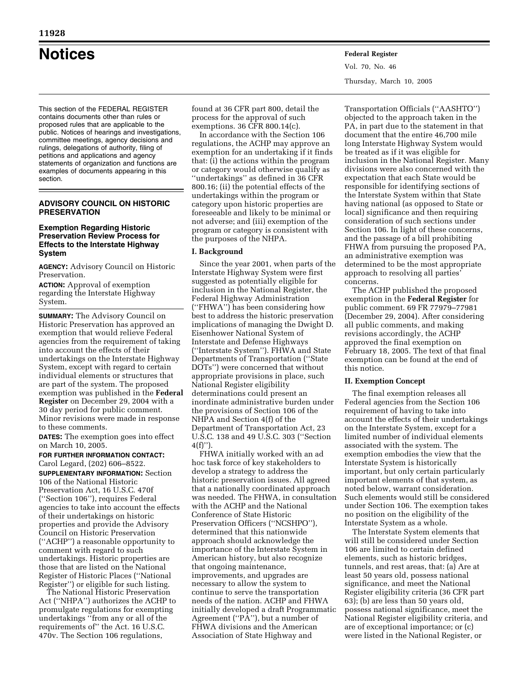# **Notices Federal Register**

This section of the FEDERAL REGISTER contains documents other than rules or proposed rules that are applicable to the public. Notices of hearings and investigations, committee meetings, agency decisions and rulings, delegations of authority, filing of petitions and applications and agency statements of organization and functions are examples of documents appearing in this section.

# **ADVISORY COUNCIL ON HISTORIC PRESERVATION**

## **Exemption Regarding Historic Preservation Review Process for Effects to the Interstate Highway System**

**AGENCY:** Advisory Council on Historic Preservation.

**ACTION:** Approval of exemption regarding the Interstate Highway System.

**SUMMARY:** The Advisory Council on Historic Preservation has approved an exemption that would relieve Federal agencies from the requirement of taking into account the effects of their undertakings on the Interstate Highway System, except with regard to certain individual elements or structures that are part of the system. The proposed exemption was published in the **Federal Register** on December 29, 2004 with a 30 day period for public comment. Minor revisions were made in response to these comments.

**DATES:** The exemption goes into effect on March 10, 2005.

**FOR FURTHER INFORMATION CONTACT:** Carol Legard, (202) 606–8522.

**SUPPLEMENTARY INFORMATION:** Section 106 of the National Historic Preservation Act, 16 U.S.C. 470f (''Section 106''), requires Federal agencies to take into account the effects of their undertakings on historic properties and provide the Advisory Council on Historic Preservation (''ACHP'') a reasonable opportunity to comment with regard to such undertakings. Historic properties are those that are listed on the National Register of Historic Places (''National Register'') or eligible for such listing.

The National Historic Preservation Act (''NHPA'') authorizes the ACHP to promulgate regulations for exempting undertakings ''from any or all of the requirements of'' the Act. 16 U.S.C. 470v. The Section 106 regulations,

found at 36 CFR part 800, detail the process for the approval of such exemptions. 36 CFR 800.14(c).

In accordance with the Section 106 regulations, the ACHP may approve an exemption for an undertaking if it finds that: (i) the actions within the program or category would otherwise qualify as ''undertakings'' as defined in 36 CFR 800.16; (ii) the potential effects of the undertakings within the program or category upon historic properties are foreseeable and likely to be minimal or not adverse; and (iii) exemption of the program or category is consistent with the purposes of the NHPA.

# **I. Background**

Since the year 2001, when parts of the Interstate Highway System were first suggested as potentially eligible for inclusion in the National Register, the Federal Highway Administration (''FHWA'') has been considering how best to address the historic preservation implications of managing the Dwight D. Eisenhower National System of Interstate and Defense Highways (''Interstate System''). FHWA and State Departments of Transportation (''State DOTs'') were concerned that without appropriate provisions in place, such National Register eligibility determinations could present an inordinate administrative burden under the provisions of Section 106 of the NHPA and Section 4(f) of the Department of Transportation Act, 23 U.S.C. 138 and 49 U.S.C. 303 (''Section  $4(f)$ ")

FHWA initially worked with an ad hoc task force of key stakeholders to develop a strategy to address the historic preservation issues. All agreed that a nationally coordinated approach was needed. The FHWA, in consultation with the ACHP and the National Conference of State Historic Preservation Officers (''NCSHPO''), determined that this nationwide approach should acknowledge the importance of the Interstate System in American history, but also recognize that ongoing maintenance, improvements, and upgrades are necessary to allow the system to continue to serve the transportation needs of the nation. ACHP and FHWA initially developed a draft Programmatic Agreement ("PA"), but a number of FHWA divisions and the American Association of State Highway and

Transportation Officials (''AASHTO'') objected to the approach taken in the PA, in part due to the statement in that document that the entire 46,700 mile long Interstate Highway System would be treated as if it was eligible for inclusion in the National Register. Many divisions were also concerned with the expectation that each State would be responsible for identifying sections of the Interstate System within that State having national (as opposed to State or local) significance and then requiring consideration of such sections under Section 106. In light of these concerns, and the passage of a bill prohibiting FHWA from pursuing the proposed PA, an administrative exemption was determined to be the most appropriate approach to resolving all parties' concerns.

The ACHP published the proposed exemption in the **Federal Register** for public comment. 69 FR 77979–77981 (December 29, 2004). After considering all public comments, and making revisions accordingly, the ACHP approved the final exemption on February 18, 2005. The text of that final exemption can be found at the end of this notice.

# **II. Exemption Concept**

The final exemption releases all Federal agencies from the Section 106 requirement of having to take into account the effects of their undertakings on the Interstate System, except for a limited number of individual elements associated with the system. The exemption embodies the view that the Interstate System is historically important, but only certain particularly important elements of that system, as noted below, warrant consideration. Such elements would still be considered under Section 106. The exemption takes no position on the eligibility of the Interstate System as a whole.

The Interstate System elements that will still be considered under Section 106 are limited to certain defined elements, such as historic bridges, tunnels, and rest areas, that: (a) Are at least 50 years old, possess national significance, and meet the National Register eligibility criteria (36 CFR part 63); (b) are less than 50 years old, possess national significance, meet the National Register eligibility criteria, and are of exceptional importance; or (c) were listed in the National Register, or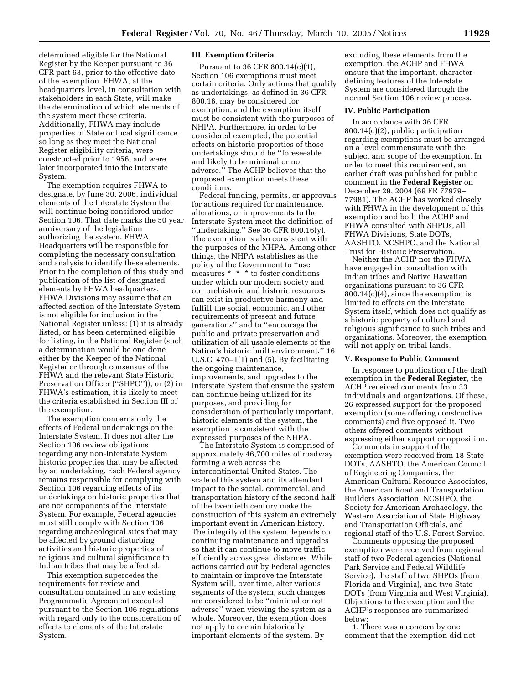determined eligible for the National Register by the Keeper pursuant to 36 CFR part 63, prior to the effective date of the exemption. FHWA, at the headquarters level, in consultation with stakeholders in each State, will make the determination of which elements of the system meet these criteria. Additionally, FHWA may include properties of State or local significance, so long as they meet the National Register eligibility criteria, were constructed prior to 1956, and were later incorporated into the Interstate System.

The exemption requires FHWA to designate, by June 30, 2006, individual elements of the Interstate System that will continue being considered under Section 106. That date marks the 50 year anniversary of the legislation authorizing the system. FHWA Headquarters will be responsible for completing the necessary consultation and analysis to identify these elements. Prior to the completion of this study and publication of the list of designated elements by FHWA headquarters, FHWA Divisions may assume that an affected section of the Interstate System is not eligible for inclusion in the National Register unless: (1) it is already listed, or has been determined eligible for listing, in the National Register (such a determination would be one done either by the Keeper of the National Register or through consensus of the FHWA and the relevant State Historic Preservation Officer ("SHPO")); or (2) in FHWA's estimation, it is likely to meet the criteria established in Section III of the exemption.

The exemption concerns only the effects of Federal undertakings on the Interstate System. It does not alter the Section 106 review obligations regarding any non-Interstate System historic properties that may be affected by an undertaking. Each Federal agency remains responsible for complying with Section 106 regarding effects of its undertakings on historic properties that are not components of the Interstate System. For example, Federal agencies must still comply with Section 106 regarding archaeological sites that may be affected by ground disturbing activities and historic properties of religious and cultural significance to Indian tribes that may be affected.

This exemption supercedes the requirements for review and consultation contained in any existing Programmatic Agreement executed pursuant to the Section 106 regulations with regard only to the consideration of effects to elements of the Interstate System.

#### **III. Exemption Criteria**

Pursuant to 36 CFR 800.14(c)(1), Section 106 exemptions must meet certain criteria. Only actions that qualify as undertakings, as defined in 36 CFR 800.16, may be considered for exemption, and the exemption itself must be consistent with the purposes of NHPA. Furthermore, in order to be considered exempted, the potential effects on historic properties of those undertakings should be ''foreseeable and likely to be minimal or not adverse.'' The ACHP believes that the proposed exemption meets these conditions.

Federal funding, permits, or approvals for actions required for maintenance, alterations, or improvements to the Interstate System meet the definition of ''undertaking.'' See 36 CFR 800.16(y). The exemption is also consistent with the purposes of the NHPA. Among other things, the NHPA establishes as the policy of the Government to ''use measures \* \* \* to foster conditions under which our modern society and our prehistoric and historic resources can exist in productive harmony and fulfill the social, economic, and other requirements of present and future generations'' and to ''encourage the public and private preservation and utilization of all usable elements of the Nation's historic built environment.'' 16 U.S.C. 470–1(1) and (5). By facilitating the ongoing maintenance, improvements, and upgrades to the Interstate System that ensure the system can continue being utilized for its purposes, and providing for consideration of particularly important, historic elements of the system, the exemption is consistent with the expressed purposes of the NHPA.

The Interstate System is comprised of approximately 46,700 miles of roadway forming a web across the intercontinental United States. The scale of this system and its attendant impact to the social, commercial, and transportation history of the second half of the twentieth century make the construction of this system an extremely important event in American history. The integrity of the system depends on continuing maintenance and upgrades so that it can continue to move traffic efficiently across great distances. While actions carried out by Federal agencies to maintain or improve the Interstate System will, over time, alter various segments of the system, such changes are considered to be ''minimal or not adverse'' when viewing the system as a whole. Moreover, the exemption does not apply to certain historically important elements of the system. By

excluding these elements from the exemption, the ACHP and FHWA ensure that the important, characterdefining features of the Interstate System are considered through the normal Section 106 review process.

#### **IV. Public Participation**

In accordance with 36 CFR 800.14(c)(2), public participation regarding exemptions must be arranged on a level commensurate with the subject and scope of the exemption. In order to meet this requirement, an earlier draft was published for public comment in the **Federal Register** on December 29, 2004 (69 FR 77979– 77981). The ACHP has worked closely with FHWA in the development of this exemption and both the ACHP and FHWA consulted with SHPOs, all FHWA Divisions, State DOTs, AASHTO, NCSHPO, and the National Trust for Historic Preservation.

Neither the ACHP nor the FHWA have engaged in consultation with Indian tribes and Native Hawaiian organizations pursuant to 36 CFR 800.14(c)(4), since the exemption is limited to effects on the Interstate System itself, which does not qualify as a historic property of cultural and religious significance to such tribes and organizations. Moreover, the exemption will not apply on tribal lands.

#### **V. Response to Public Comment**

In response to publication of the draft exemption in the **Federal Register**, the ACHP received comments from 33 individuals and organizations. Of these, 26 expressed support for the proposed exemption (some offering constructive comments) and five opposed it. Two others offered comments without expressing either support or opposition.

Comments in support of the exemption were received from 18 State DOTs, AASHTO, the American Council of Engineering Companies, the American Cultural Resource Associates, the American Road and Transportation Builders Association, NCSHPO, the Society for American Archaeology, the Western Association of State Highway and Transportation Officials, and regional staff of the U.S. Forest Service.

Comments opposing the proposed exemption were received from regional staff of two Federal agencies (National Park Service and Federal Wildlife Service), the staff of two SHPOs (from Florida and Virginia), and two State DOTs (from Virginia and West Virginia). Objections to the exemption and the ACHP's responses are summarized below:

1. There was a concern by one comment that the exemption did not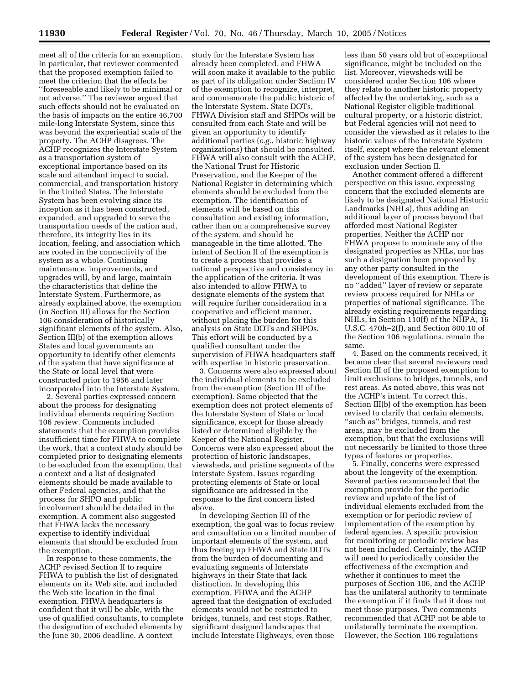meet all of the criteria for an exemption. In particular, that reviewer commented that the proposed exemption failed to meet the criterion that the effects be ''foreseeable and likely to be minimal or not adverse.'' The reviewer argued that such effects should not be evaluated on the basis of impacts on the entire 46,700 mile-long Interstate System, since this was beyond the experiential scale of the property. The ACHP disagrees. The ACHP recognizes the Interstate System as a transportation system of exceptional importance based on its scale and attendant impact to social, commercial, and transportation history in the United States. The Interstate System has been evolving since its inception as it has been constructed, expanded, and upgraded to serve the transportation needs of the nation and, therefore, its integrity lies in its location, feeling, and association which are rooted in the connectivity of the system as a whole. Continuing maintenance, improvements, and upgrades will, by and large, maintain the characteristics that define the Interstate System. Furthermore, as already explained above, the exemption (in Section III) allows for the Section 106 consideration of historically significant elements of the system. Also, Section III(b) of the exemption allows States and local governments an opportunity to identify other elements of the system that have significance at the State or local level that were constructed prior to 1956 and later incorporated into the Interstate System.

2. Several parties expressed concern about the process for designating individual elements requiring Section 106 review. Comments included statements that the exemption provides insufficient time for FHWA to complete the work, that a context study should be completed prior to designating elements to be excluded from the exemption, that a context and a list of designated elements should be made available to other Federal agencies, and that the process for SHPO and public involvement should be detailed in the exemption. A comment also suggested that FHWA lacks the necessary expertise to identify individual elements that should be excluded from the exemption.

In response to these comments, the ACHP revised Section II to require FHWA to publish the list of designated elements on its Web site, and included the Web site location in the final exemption. FHWA headquarters is confident that it will be able, with the use of qualified consultants, to complete the designation of excluded elements by the June 30, 2006 deadline. A context

study for the Interstate System has already been completed, and FHWA will soon make it available to the public as part of its obligation under Section IV of the exemption to recognize, interpret, and commemorate the public historic of the Interstate System. State DOTs, FHWA Division staff and SHPOs will be consulted from each State and will be given an opportunity to identify additional parties (*e.g.*, historic highway organizations) that should be consulted. FHWA will also consult with the ACHP, the National Trust for Historic Preservation, and the Keeper of the National Register in determining which elements should be excluded from the exemption. The identification of elements will be based on this consultation and existing information, rather than on a comprehensive survey of the system, and should be manageable in the time allotted. The intent of Section II of the exemption is to create a process that provides a national perspective and consistency in the application of the criteria. It was also intended to allow FHWA to designate elements of the system that will require further consideration in a cooperative and efficient manner, without placing the burden for this analysis on State DOTs and SHPOs. This effort will be conducted by a qualified consultant under the supervision of FHWA headquarters staff with expertise in historic preservation.

3. Concerns were also expressed about the individual elements to be excluded from the exemption (Section III of the exemption). Some objected that the exemption does not protect elements of the Interstate System of State or local significance, except for those already listed or determined eligible by the Keeper of the National Register. Concerns were also expressed about the protection of historic landscapes, viewsheds, and pristine segments of the Interstate System. Issues regarding protecting elements of State or local significance are addressed in the response to the first concern listed above.

In developing Section III of the exemption, the goal was to focus review and consultation on a limited number of important elements of the system, and thus freeing up FHWA and State DOTs from the burden of documenting and evaluating segments of Interstate highways in their State that lack distinction. In developing this exemption, FHWA and the ACHP agreed that the designation of excluded elements would not be restricted to bridges, tunnels, and rest stops. Rather, significant designed landscapes that include Interstate Highways, even those

less than 50 years old but of exceptional significance, might be included on the list. Moreover, viewsheds will be considered under Section 106 where they relate to another historic property affected by the undertaking, such as a National Register eligible traditional cultural property, or a historic district, but Federal agencies will not need to consider the viewshed as it relates to the historic values of the Interstate System itself, except where the relevant element of the system has been designated for exclusion under Section II.

Another comment offered a different perspective on this issue, expressing concern that the excluded elements are likely to be designated National Historic Landmarks (NHLs), thus adding an additional layer of process beyond that afforded most National Register properties. Neither the ACHP nor FHWA propose to nominate any of the designated properties as NHLs, nor has such a designation been proposed by any other party consulted in the development of this exemption. There is no ''added'' layer of review or separate review process required for NHLs or properties of national significance. The already existing requirements regarding NHLs, in Section 110(f) of the NHPA, 16 U.S.C. 470h–2(f), and Section 800.10 of the Section 106 regulations, remain the same.

4. Based on the comments received, it became clear that several reviewers read Section III of the proposed exemption to limit exclusions to bridges, tunnels, and rest areas. As noted above, this was not the ACHP's intent. To correct this, Section III(b) of the exemption has been revised to clarify that certain elements, ''such as'' bridges, tunnels, and rest areas, may be excluded from the exemption, but that the exclusions will not necessarily be limited to those three types of features or properties.

5. Finally, concerns were expressed about the longevity of the exemption. Several parties recommended that the exemption provide for the periodic review and update of the list of individual elements excluded from the exemption or for periodic review of implementation of the exemption by federal agencies. A specific provision for monitoring or periodic review has not been included. Certainly, the ACHP will need to periodically consider the effectiveness of the exemption and whether it continues to meet the purposes of Section 106, and the ACHP has the unilateral authority to terminate the exemption if it finds that it does not meet those purposes. Two comments recommended that ACHP not be able to unilaterally terminate the exemption. However, the Section 106 regulations